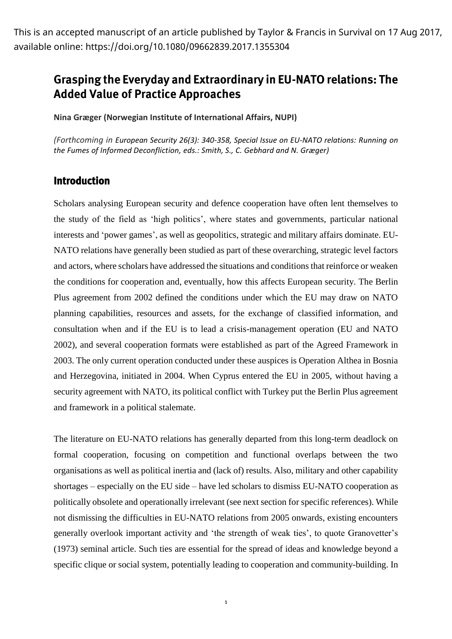This is an accepted manuscript of an article published by Taylor & Francis in Survival on 17 Aug 2017, available online: https://doi.org/10.1080/09662839.2017.1355304

# **Grasping the Everyday and Extraordinary in EU-NATO relations: The Added Value of Practice Approaches**

**Nina Græger (Norwegian Institute of International Affairs, NUPI)**

*(Forthcoming in European Security 26(3): 340-358, Special Issue on EU-NATO relations: Running on the Fumes of Informed Deconfliction, eds.: Smith, S., C. Gebhard and N. Græger)*

# **Introduction**

Scholars analysing European security and defence cooperation have often lent themselves to the study of the field as 'high politics', where states and governments, particular national interests and 'power games', as well as geopolitics, strategic and military affairs dominate. EU-NATO relations have generally been studied as part of these overarching, strategic level factors and actors, where scholars have addressed the situations and conditions that reinforce or weaken the conditions for cooperation and, eventually, how this affects European security. The Berlin Plus agreement from 2002 defined the conditions under which the EU may draw on NATO planning capabilities, resources and assets, for the exchange of classified information, and consultation when and if the EU is to lead a crisis-management operation (EU and NATO 2002), and several cooperation formats were established as part of the Agreed Framework in 2003. The only current operation conducted under these auspices is Operation Althea in Bosnia and Herzegovina, initiated in 2004. When Cyprus entered the EU in 2005, without having a security agreement with NATO, its political conflict with Turkey put the Berlin Plus agreement and framework in a political stalemate.

The literature on EU-NATO relations has generally departed from this long-term deadlock on formal cooperation, focusing on competition and functional overlaps between the two organisations as well as political inertia and (lack of) results. Also, military and other capability shortages – especially on the EU side – have led scholars to dismiss EU-NATO cooperation as politically obsolete and operationally irrelevant (see next section for specific references). While not dismissing the difficulties in EU-NATO relations from 2005 onwards, existing encounters generally overlook important activity and 'the strength of weak ties', to quote Granovetter's (1973) seminal article. Such ties are essential for the spread of ideas and knowledge beyond a specific clique or social system, potentially leading to cooperation and community-building. In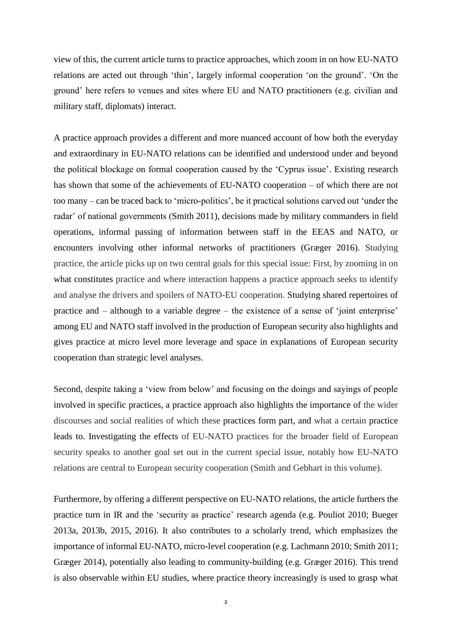view of this, the current article turns to practice approaches, which zoom in on how EU-NATO relations are acted out through 'thin', largely informal cooperation 'on the ground'. 'On the ground' here refers to venues and sites where EU and NATO practitioners (e.g. civilian and military staff, diplomats) interact.

A practice approach provides a different and more nuanced account of how both the everyday and extraordinary in EU-NATO relations can be identified and understood under and beyond the political blockage on formal cooperation caused by the 'Cyprus issue'. Existing research has shown that some of the achievements of EU-NATO cooperation – of which there are not too many – can be traced back to 'micro-politics', be it practical solutions carved out 'under the radar' of national governments (Smith 2011), decisions made by military commanders in field operations, informal passing of information between staff in the EEAS and NATO, or encounters involving other informal networks of practitioners (Græger 2016). Studying practice, the article picks up on two central goals for this special issue: First, by zooming in on what constitutes practice and where interaction happens a practice approach seeks to identify and analyse the drivers and spoilers of NATO-EU cooperation. Studying shared repertoires of practice and – although to a variable degree – the existence of a sense of 'joint enterprise' among EU and NATO staff involved in the production of European security also highlights and gives practice at micro level more leverage and space in explanations of European security cooperation than strategic level analyses.

Second, despite taking a 'view from below' and focusing on the doings and sayings of people involved in specific practices, a practice approach also highlights the importance of the wider discourses and social realities of which these practices form part, and what a certain practice leads to. Investigating the effects of EU-NATO practices for the broader field of European security speaks to another goal set out in the current special issue, notably how EU-NATO relations are central to European security cooperation (Smith and Gebhart in this volume).

Furthermore, by offering a different perspective on EU-NATO relations, the article furthers the practice turn in IR and the 'security as practice' research agenda (e.g. Pouliot 2010; Bueger 2013a, 2013b, 2015, 2016). It also contributes to a scholarly trend, which emphasizes the importance of informal EU-NATO, micro-level cooperation (e.g. Lachmann 2010; Smith 2011; Græger 2014), potentially also leading to community-building (e.g. Græger 2016). This trend is also observable within EU studies, where practice theory increasingly is used to grasp what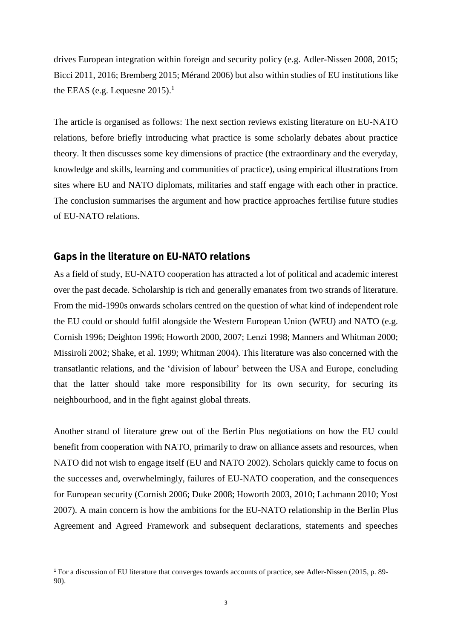drives European integration within foreign and security policy (e.g. Adler-Nissen 2008, 2015; Bicci 2011, 2016; Bremberg 2015; Mérand 2006) but also within studies of EU institutions like the EEAS (e.g. Lequesne  $2015$ ).<sup>1</sup>

The article is organised as follows: The next section reviews existing literature on EU-NATO relations, before briefly introducing what practice is some scholarly debates about practice theory. It then discusses some key dimensions of practice (the extraordinary and the everyday, knowledge and skills, learning and communities of practice), using empirical illustrations from sites where EU and NATO diplomats, militaries and staff engage with each other in practice. The conclusion summarises the argument and how practice approaches fertilise future studies of EU-NATO relations.

### **Gaps in the literature on EU-NATO relations**

.

As a field of study, EU-NATO cooperation has attracted a lot of political and academic interest over the past decade. Scholarship is rich and generally emanates from two strands of literature. From the mid-1990s onwards scholars centred on the question of what kind of independent role the EU could or should fulfil alongside the Western European Union (WEU) and NATO (e.g. Cornish 1996; Deighton 1996; Howorth 2000, 2007; Lenzi 1998; Manners and Whitman 2000; Missiroli 2002; Shake, et al. 1999; Whitman 2004). This literature was also concerned with the transatlantic relations, and the 'division of labour' between the USA and Europe, concluding that the latter should take more responsibility for its own security, for securing its neighbourhood, and in the fight against global threats.

Another strand of literature grew out of the Berlin Plus negotiations on how the EU could benefit from cooperation with NATO, primarily to draw on alliance assets and resources, when NATO did not wish to engage itself (EU and NATO 2002). Scholars quickly came to focus on the successes and, overwhelmingly, failures of EU-NATO cooperation, and the consequences for European security (Cornish 2006; Duke 2008; Howorth 2003, 2010; Lachmann 2010; Yost 2007). A main concern is how the ambitions for the EU-NATO relationship in the Berlin Plus Agreement and Agreed Framework and subsequent declarations, statements and speeches

<sup>1</sup> For a discussion of EU literature that converges towards accounts of practice, see Adler-Nissen (2015, p. 89- 90).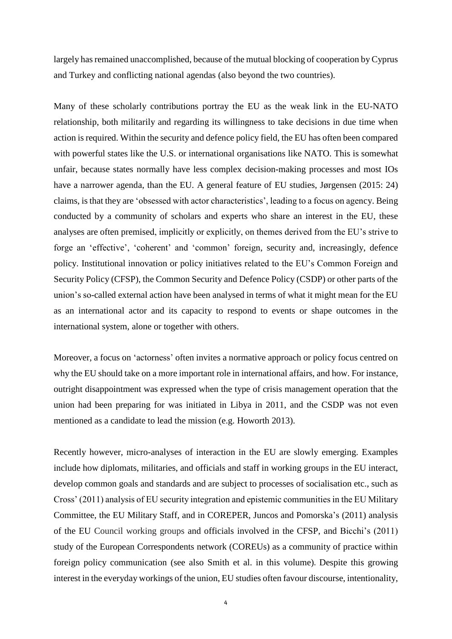largely has remained unaccomplished, because of the mutual blocking of cooperation by Cyprus and Turkey and conflicting national agendas (also beyond the two countries).

Many of these scholarly contributions portray the EU as the weak link in the EU-NATO relationship, both militarily and regarding its willingness to take decisions in due time when action is required. Within the security and defence policy field, the EU has often been compared with powerful states like the U.S. or international organisations like NATO. This is somewhat unfair, because states normally have less complex decision-making processes and most IOs have a narrower agenda, than the EU. A general feature of EU studies, Jørgensen (2015: 24) claims, is that they are 'obsessed with actor characteristics', leading to a focus on agency. Being conducted by a community of scholars and experts who share an interest in the EU, these analyses are often premised, implicitly or explicitly, on themes derived from the EU's strive to forge an 'effective', 'coherent' and 'common' foreign, security and, increasingly, defence policy. Institutional innovation or policy initiatives related to the EU's Common Foreign and Security Policy (CFSP), the Common Security and Defence Policy (CSDP) or other parts of the union's so-called external action have been analysed in terms of what it might mean for the EU as an international actor and its capacity to respond to events or shape outcomes in the international system, alone or together with others.

Moreover, a focus on 'actorness' often invites a normative approach or policy focus centred on why the EU should take on a more important role in international affairs, and how. For instance, outright disappointment was expressed when the type of crisis management operation that the union had been preparing for was initiated in Libya in 2011, and the CSDP was not even mentioned as a candidate to lead the mission (e.g. Howorth 2013).

Recently however, micro-analyses of interaction in the EU are slowly emerging. Examples include how diplomats, militaries, and officials and staff in working groups in the EU interact, develop common goals and standards and are subject to processes of socialisation etc., such as Cross' (2011) analysis of EU security integration and epistemic communities in the EU Military Committee, the EU Military Staff, and in COREPER, Juncos and Pomorska's (2011) analysis of the EU Council working groups and officials involved in the CFSP, and Bicchi's (2011) study of the European Correspondents network (COREUs) as a community of practice within foreign policy communication (see also Smith et al. in this volume). Despite this growing interest in the everyday workings of the union, EU studies often favour discourse, intentionality,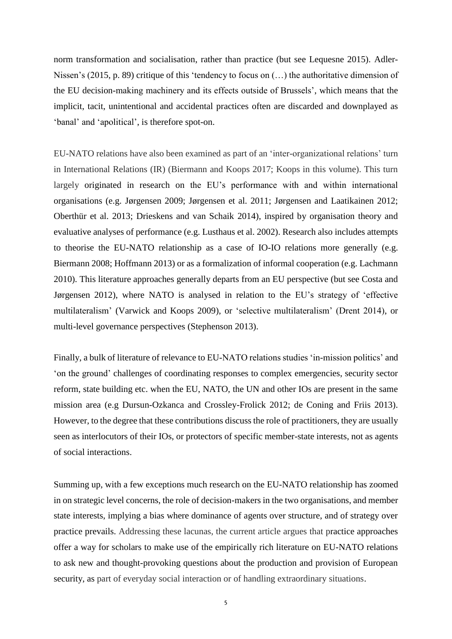norm transformation and socialisation, rather than practice (but see Lequesne 2015). Adler-Nissen's (2015, p. 89) critique of this 'tendency to focus on (…) the authoritative dimension of the EU decision-making machinery and its effects outside of Brussels', which means that the implicit, tacit, unintentional and accidental practices often are discarded and downplayed as 'banal' and 'apolitical', is therefore spot-on.

EU-NATO relations have also been examined as part of an 'inter-organizational relations' turn in International Relations (IR) (Biermann and Koops 2017; Koops in this volume). This turn largely originated in research on the EU's performance with and within international organisations (e.g. Jørgensen 2009; Jørgensen et al. 2011; Jørgensen and Laatikainen 2012; Oberthür et al. 2013; Drieskens and van Schaik 2014), inspired by organisation theory and evaluative analyses of performance (e.g. Lusthaus et al. 2002). Research also includes attempts to theorise the EU-NATO relationship as a case of IO-IO relations more generally (e.g. Biermann 2008; Hoffmann 2013) or as a formalization of informal cooperation (e.g. Lachmann 2010). This literature approaches generally departs from an EU perspective (but see Costa and Jørgensen 2012), where NATO is analysed in relation to the EU's strategy of 'effective multilateralism' (Varwick and Koops 2009), or 'selective multilateralism' (Drent 2014), or multi-level governance perspectives (Stephenson 2013).

Finally, a bulk of literature of relevance to EU-NATO relations studies 'in-mission politics' and 'on the ground' challenges of coordinating responses to complex emergencies, security sector reform, state building etc. when the EU, NATO, the UN and other IOs are present in the same mission area (e.g Dursun-Ozkanca and Crossley-Frolick 2012; de Coning and Friis 2013). However, to the degree that these contributions discuss the role of practitioners, they are usually seen as interlocutors of their IOs, or protectors of specific member-state interests, not as agents of social interactions.

Summing up, with a few exceptions much research on the EU-NATO relationship has zoomed in on strategic level concerns, the role of decision-makers in the two organisations, and member state interests, implying a bias where dominance of agents over structure, and of strategy over practice prevails. Addressing these lacunas, the current article argues that practice approaches offer a way for scholars to make use of the empirically rich literature on EU-NATO relations to ask new and thought-provoking questions about the production and provision of European security, as part of everyday social interaction or of handling extraordinary situations.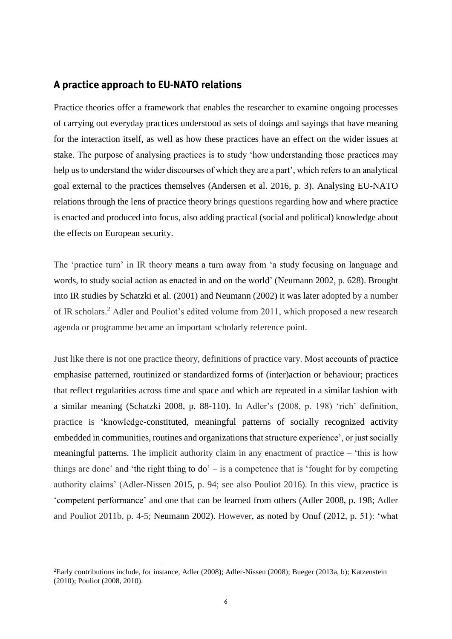### **A practice approach to EU-NATO relations**

Practice theories offer a framework that enables the researcher to examine ongoing processes of carrying out everyday practices understood as sets of doings and sayings that have meaning for the interaction itself, as well as how these practices have an effect on the wider issues at stake. The purpose of analysing practices is to study 'how understanding those practices may help us to understand the wider discourses of which they are a part', which refers to an analytical goal external to the practices themselves (Andersen et al. 2016, p. 3). Analysing EU-NATO relations through the lens of practice theory brings questions regarding how and where practice is enacted and produced into focus, also adding practical (social and political) knowledge about the effects on European security.

The 'practice turn' in IR theory means a turn away from 'a study focusing on language and words, to study social action as enacted in and on the world' (Neumann 2002, p. 628). Brought into IR studies by Schatzki et al. (2001) and Neumann (2002) it was later adopted by a number of IR scholars.<sup>2</sup> Adler and Pouliot's edited volume from 2011, which proposed a new research agenda or programme became an important scholarly reference point.

Just like there is not one practice theory, definitions of practice vary. Most accounts of practice emphasise patterned*,* routinized or standardized forms of (inter)action or behaviour; practices that reflect regularities across time and space and which are repeated in a similar fashion with a similar meaning (Schatzki 2008, p. 88-110). In Adler's (2008, p. 198) 'rich' definition, practice is 'knowledge-constituted, meaningful patterns of socially recognized activity embedded in communities, routines and organizations that structure experience', or just socially meaningful patterns. The implicit authority claim in any enactment of practice – 'this is how things are done' and 'the right thing to do' – is a competence that is 'fought for by competing authority claims' (Adler-Nissen 2015, p. 94; see also Pouliot 2016). In this view, practice is 'competent performance' and one that can be learned from others (Adler 2008, p. 198; Adler and Pouliot 2011b, p. 4-5; Neumann 2002). However, as noted by Onuf (2012, p. 51): 'what

.

<sup>2</sup>Early contributions include, for instance, Adler (2008); Adler-Nissen (2008); Bueger (2013a, b); Katzenstein (2010); Pouliot (2008, 2010).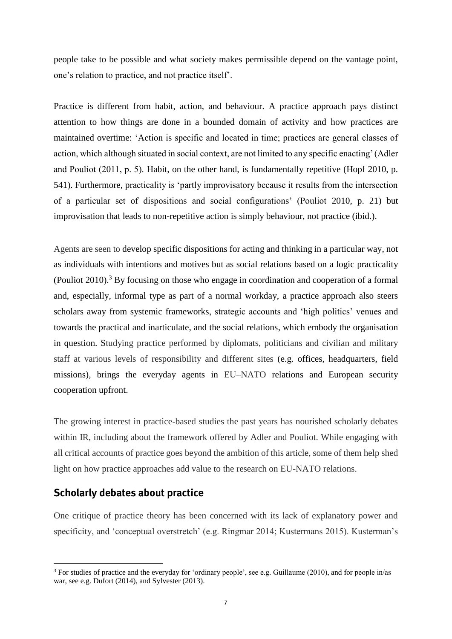people take to be possible and what society makes permissible depend on the vantage point, one's relation to practice, and not practice itself'.

Practice is different from habit, action, and behaviour. A practice approach pays distinct attention to how things are done in a bounded domain of activity and how practices are maintained overtime: 'Action is specific and located in time; practices are general classes of action, which although situated in social context, are not limited to any specific enacting'(Adler and Pouliot (2011, p. 5). Habit, on the other hand, is fundamentally repetitive (Hopf 2010, p. 541). Furthermore, practicality is 'partly improvisatory because it results from the intersection of a particular set of dispositions and social configurations' (Pouliot 2010, p. 21) but improvisation that leads to non-repetitive action is simply behaviour, not practice (ibid.).

Agents are seen to develop specific dispositions for acting and thinking in a particular way, not as individuals with intentions and motives but as social relations based on a logic practicality (Pouliot 2010). <sup>3</sup> By focusing on those who engage in coordination and cooperation of a formal and, especially, informal type as part of a normal workday, a practice approach also steers scholars away from systemic frameworks, strategic accounts and 'high politics' venues and towards the practical and inarticulate, and the social relations, which embody the organisation in question. Studying practice performed by diplomats, politicians and civilian and military staff at various levels of responsibility and different sites (e.g. offices, headquarters, field missions), brings the everyday agents in EU–NATO relations and European security cooperation upfront.

The growing interest in practice-based studies the past years has nourished scholarly debates within IR, including about the framework offered by Adler and Pouliot. While engaging with all critical accounts of practice goes beyond the ambition of this article, some of them help shed light on how practice approaches add value to the research on EU-NATO relations.

#### **Scholarly debates about practice**

.

One critique of practice theory has been concerned with its lack of explanatory power and specificity, and 'conceptual overstretch' (e.g. Ringmar 2014; Kustermans 2015). Kusterman's

 $3$  For studies of practice and the everyday for 'ordinary people', see e.g. Guillaume (2010), and for people in/as war, see e.g. Dufort (2014), and Sylvester (2013).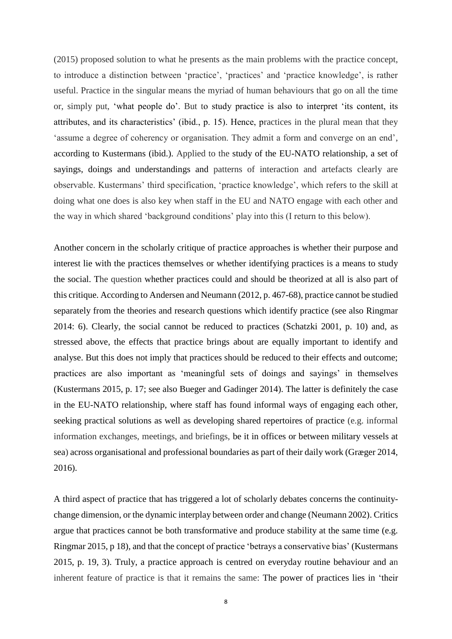(2015) proposed solution to what he presents as the main problems with the practice concept, to introduce a distinction between 'practice', 'practices' and 'practice knowledge', is rather useful. Practice in the singular means the myriad of human behaviours that go on all the time or, simply put, 'what people do'. But to study practice is also to interpret 'its content, its attributes, and its characteristics' (ibid., p. 15). Hence, practices in the plural mean that they 'assume a degree of coherency or organisation. They admit a form and converge on an end', according to Kustermans (ibid.). Applied to the study of the EU-NATO relationship, a set of sayings, doings and understandings and patterns of interaction and artefacts clearly are observable. Kustermans' third specification, 'practice knowledge', which refers to the skill at doing what one does is also key when staff in the EU and NATO engage with each other and the way in which shared 'background conditions' play into this (I return to this below).

Another concern in the scholarly critique of practice approaches is whether their purpose and interest lie with the practices themselves or whether identifying practices is a means to study the social. The question whether practices could and should be theorized at all is also part of this critique. According to Andersen and Neumann (2012, p. 467-68), practice cannot be studied separately from the theories and research questions which identify practice (see also Ringmar 2014: 6). Clearly, the social cannot be reduced to practices (Schatzki 2001, p. 10) and, as stressed above, the effects that practice brings about are equally important to identify and analyse. But this does not imply that practices should be reduced to their effects and outcome; practices are also important as 'meaningful sets of doings and sayings' in themselves (Kustermans 2015, p. 17; see also Bueger and Gadinger 2014). The latter is definitely the case in the EU-NATO relationship, where staff has found informal ways of engaging each other, seeking practical solutions as well as developing shared repertoires of practice (e.g. informal information exchanges, meetings, and briefings, be it in offices or between military vessels at sea) across organisational and professional boundaries as part of their daily work (Græger 2014, 2016).

A third aspect of practice that has triggered a lot of scholarly debates concerns the continuitychange dimension, or the dynamic interplay between order and change (Neumann 2002). Critics argue that practices cannot be both transformative and produce stability at the same time (e.g. Ringmar 2015, p 18), and that the concept of practice 'betrays a conservative bias' (Kustermans 2015, p. 19, 3). Truly, a practice approach is centred on everyday routine behaviour and an inherent feature of practice is that it remains the same: The power of practices lies in 'their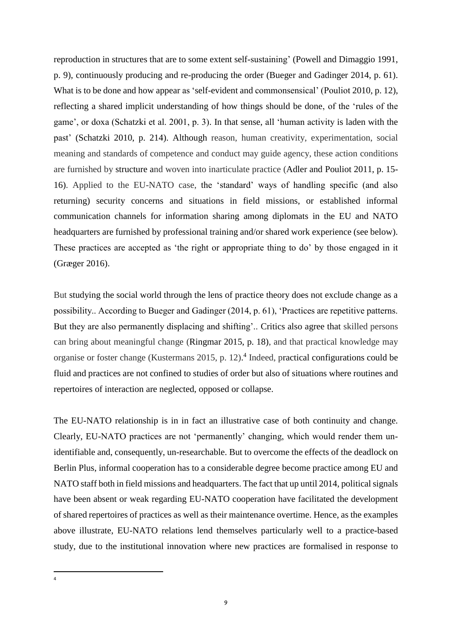reproduction in structures that are to some extent self-sustaining' (Powell and Dimaggio 1991, p. 9), continuously producing and re-producing the order (Bueger and Gadinger 2014, p. 61). What is to be done and how appear as 'self-evident and commonsensical' (Pouliot 2010, p. 12), reflecting a shared implicit understanding of how things should be done, of the 'rules of the game', or doxa (Schatzki et al. 2001, p. 3). In that sense, all 'human activity is laden with the past' (Schatzki 2010, p. 214). Although reason, human creativity, experimentation, social meaning and standards of competence and conduct may guide agency, these action conditions are furnished by structure and woven into inarticulate practice (Adler and Pouliot 2011, p. 15- 16). Applied to the EU-NATO case, the 'standard' ways of handling specific (and also returning) security concerns and situations in field missions, or established informal communication channels for information sharing among diplomats in the EU and NATO headquarters are furnished by professional training and/or shared work experience (see below). These practices are accepted as 'the right or appropriate thing to do' by those engaged in it (Græger 2016).

But studying the social world through the lens of practice theory does not exclude change as a possibility.. According to Bueger and Gadinger (2014, p. 61), 'Practices are repetitive patterns. But they are also permanently displacing and shifting'.. Critics also agree that skilled persons can bring about meaningful change (Ringmar 2015, p. 18), and that practical knowledge may organise or foster change (Kustermans 2015, p. 12). 4 Indeed, practical configurations could be fluid and practices are not confined to studies of order but also of situations where routines and repertoires of interaction are neglected, opposed or collapse.

The EU-NATO relationship is in in fact an illustrative case of both continuity and change. Clearly, EU-NATO practices are not 'permanently' changing, which would render them unidentifiable and, consequently, un-researchable. But to overcome the effects of the deadlock on Berlin Plus, informal cooperation has to a considerable degree become practice among EU and NATO staff both in field missions and headquarters. The fact that up until 2014, political signals have been absent or weak regarding EU-NATO cooperation have facilitated the development of shared repertoires of practices as well as their maintenance overtime. Hence, as the examples above illustrate, EU-NATO relations lend themselves particularly well to a practice-based study, due to the institutional innovation where new practices are formalised in response to

<sup>.</sup> 4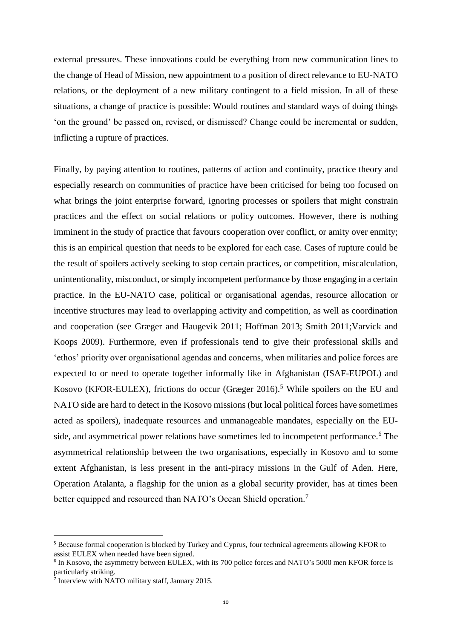external pressures. These innovations could be everything from new communication lines to the change of Head of Mission, new appointment to a position of direct relevance to EU-NATO relations, or the deployment of a new military contingent to a field mission. In all of these situations, a change of practice is possible: Would routines and standard ways of doing things 'on the ground' be passed on, revised, or dismissed? Change could be incremental or sudden, inflicting a rupture of practices.

Finally, by paying attention to routines, patterns of action and continuity, practice theory and especially research on communities of practice have been criticised for being too focused on what brings the joint enterprise forward, ignoring processes or spoilers that might constrain practices and the effect on social relations or policy outcomes. However, there is nothing imminent in the study of practice that favours cooperation over conflict, or amity over enmity; this is an empirical question that needs to be explored for each case. Cases of rupture could be the result of spoilers actively seeking to stop certain practices, or competition, miscalculation, unintentionality, misconduct, or simply incompetent performance by those engaging in a certain practice. In the EU-NATO case, political or organisational agendas, resource allocation or incentive structures may lead to overlapping activity and competition, as well as coordination and cooperation (see Græger and Haugevik 2011; Hoffman 2013; Smith 2011;Varvick and Koops 2009). Furthermore, even if professionals tend to give their professional skills and 'ethos' priority over organisational agendas and concerns, when militaries and police forces are expected to or need to operate together informally like in Afghanistan (ISAF-EUPOL) and Kosovo (KFOR-EULEX), frictions do occur (Græger 2016).<sup>5</sup> While spoilers on the EU and NATO side are hard to detect in the Kosovo missions (but local political forces have sometimes acted as spoilers), inadequate resources and unmanageable mandates, especially on the EUside, and asymmetrical power relations have sometimes led to incompetent performance.<sup>6</sup> The asymmetrical relationship between the two organisations, especially in Kosovo and to some extent Afghanistan, is less present in the anti-piracy missions in the Gulf of Aden. Here, Operation Atalanta, a flagship for the union as a global security provider, has at times been better equipped and resourced than NATO's Ocean Shield operation.<sup>7</sup>

.

<sup>5</sup> Because formal cooperation is blocked by Turkey and Cyprus, four technical agreements allowing KFOR to assist EULEX when needed have been signed.

<sup>6</sup> In Kosovo, the asymmetry between EULEX, with its 700 police forces and NATO's 5000 men KFOR force is particularly striking.

<sup>7</sup> Interview with NATO military staff, January 2015.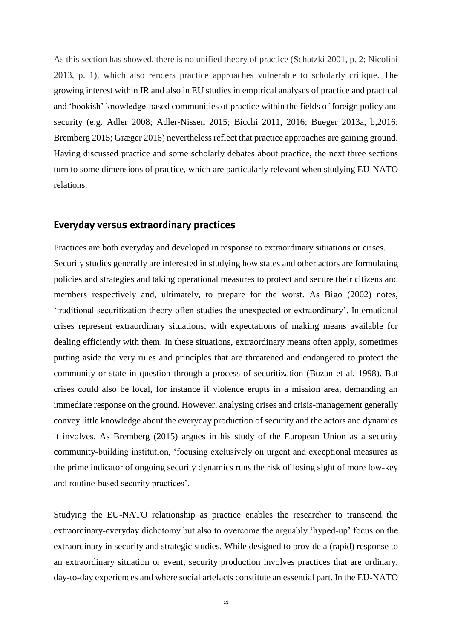As this section has showed, there is no unified theory of practice (Schatzki 2001, p. 2; Nicolini 2013, p. 1), which also renders practice approaches vulnerable to scholarly critique. The growing interest within IR and also in EU studies in empirical analyses of practice and practical and 'bookish' knowledge-based communities of practice within the fields of foreign policy and security (e.g. Adler 2008; Adler-Nissen 2015; Bicchi 2011, 2016; Bueger 2013a, b,2016; Bremberg 2015; Græger 2016) nevertheless reflect that practice approaches are gaining ground. Having discussed practice and some scholarly debates about practice, the next three sections turn to some dimensions of practice, which are particularly relevant when studying EU-NATO relations.

### **Everyday versus extraordinary practices**

Practices are both everyday and developed in response to extraordinary situations or crises. Security studies generally are interested in studying how states and other actors are formulating policies and strategies and taking operational measures to protect and secure their citizens and members respectively and, ultimately, to prepare for the worst. As Bigo (2002) notes, 'traditional securitization theory often studies the unexpected or extraordinary'. International crises represent extraordinary situations, with expectations of making means available for dealing efficiently with them. In these situations, extraordinary means often apply, sometimes putting aside the very rules and principles that are threatened and endangered to protect the community or state in question through a process of securitization (Buzan et al. 1998). But crises could also be local, for instance if violence erupts in a mission area, demanding an immediate response on the ground. However, analysing crises and crisis-management generally convey little knowledge about the everyday production of security and the actors and dynamics it involves. As Bremberg (2015) argues in his study of the European Union as a security community-building institution, 'focusing exclusively on urgent and exceptional measures as the prime indicator of ongoing security dynamics runs the risk of losing sight of more low-key and routine-based security practices'.

Studying the EU-NATO relationship as practice enables the researcher to transcend the extraordinary-everyday dichotomy but also to overcome the arguably 'hyped-up' focus on the extraordinary in security and strategic studies. While designed to provide a (rapid) response to an extraordinary situation or event, security production involves practices that are ordinary, day-to-day experiences and where social artefacts constitute an essential part. In the EU-NATO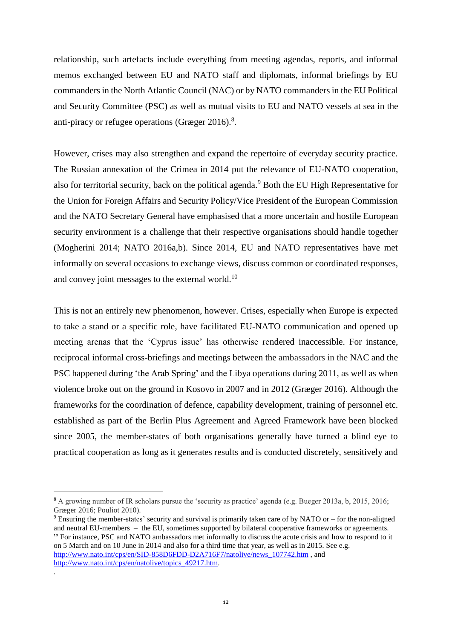relationship, such artefacts include everything from meeting agendas, reports, and informal memos exchanged between EU and NATO staff and diplomats, informal briefings by EU commanders in the North Atlantic Council (NAC) or by NATO commanders in the EU Political and Security Committee (PSC) as well as mutual visits to EU and NATO vessels at sea in the anti-piracy or refugee operations (Græger 2016). $8$ .

However, crises may also strengthen and expand the repertoire of everyday security practice. The Russian annexation of the Crimea in 2014 put the relevance of EU-NATO cooperation, also for territorial security, back on the political agenda.<sup>9</sup> Both the EU High Representative for the Union for Foreign Affairs and Security Policy/Vice President of the European Commission and the NATO Secretary General have emphasised that a more uncertain and hostile European security environment is a challenge that their respective organisations should handle together (Mogherini 2014; NATO 2016a,b). Since 2014, EU and NATO representatives have met informally on several occasions to exchange views, discuss common or coordinated responses, and convey joint messages to the external world.<sup>10</sup>

This is not an entirely new phenomenon, however. Crises, especially when Europe is expected to take a stand or a specific role, have facilitated EU-NATO communication and opened up meeting arenas that the 'Cyprus issue' has otherwise rendered inaccessible. For instance, reciprocal informal cross-briefings and meetings between the ambassadors in the NAC and the PSC happened during 'the Arab Spring' and the Libya operations during 2011, as well as when violence broke out on the ground in Kosovo in 2007 and in 2012 (Græger 2016). Although the frameworks for the coordination of defence, capability development, training of personnel etc. established as part of the Berlin Plus Agreement and Agreed Framework have been blocked since 2005, the member-states of both organisations generally have turned a blind eye to practical cooperation as long as it generates results and is conducted discretely, sensitively and

.

<sup>8</sup> A growing number of IR scholars pursue the 'security as practice' agenda (e.g. Bueger 2013a, b, 2015, 2016; Græger 2016; Pouliot 2010).

<sup>9</sup> Ensuring the member-states' security and survival is primarily taken care of by NATO or – for the non-aligned and neutral EU-members – the EU, sometimes supported by bilateral cooperative frameworks or agreements. <sup>10</sup> For instance, PSC and NATO ambassadors met informally to discuss the acute crisis and how to respond to it on 5 March and on 10 June in 2014 and also for a third time that year, as well as in 2015. See e.g. [http://www.nato.int/cps/en/SID-858D6FDD-D2A716F7/natolive/news\\_107742.htm](http://www.nato.int/cps/en/SID-858D6FDD-D2A716F7/natolive/news_107742.htm) , and [http://www.nato.int/cps/en/natolive/topics\\_49217.htm.](http://www.nato.int/cps/en/natolive/topics_49217.htm) .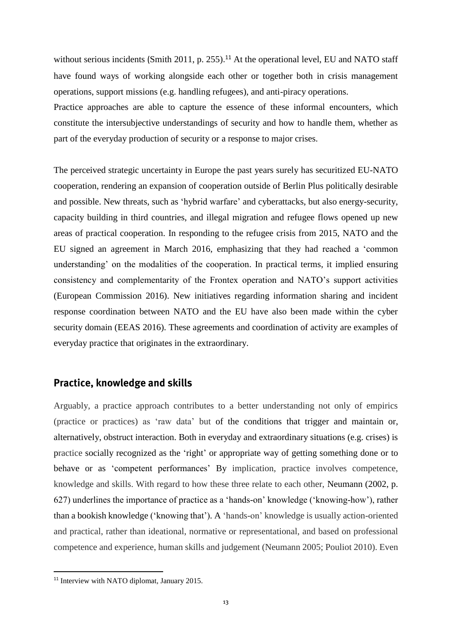without serious incidents (Smith 2011, p. 255).<sup>11</sup> At the operational level, EU and NATO staff have found ways of working alongside each other or together both in crisis management operations, support missions (e.g. handling refugees), and anti-piracy operations.

Practice approaches are able to capture the essence of these informal encounters, which constitute the intersubjective understandings of security and how to handle them, whether as part of the everyday production of security or a response to major crises.

The perceived strategic uncertainty in Europe the past years surely has securitized EU-NATO cooperation, rendering an expansion of cooperation outside of Berlin Plus politically desirable and possible. New threats, such as 'hybrid warfare' and cyberattacks, but also energy-security, capacity building in third countries, and illegal migration and refugee flows opened up new areas of practical cooperation. In responding to the refugee crisis from 2015, NATO and the EU signed an agreement in March 2016, emphasizing that they had reached a 'common understanding' on the modalities of the cooperation. In practical terms, it implied ensuring consistency and complementarity of the Frontex operation and NATO's support activities (European Commission 2016). New initiatives regarding information sharing and incident response coordination between NATO and the EU have also been made within the cyber security domain (EEAS 2016). These agreements and coordination of activity are examples of everyday practice that originates in the extraordinary.

## **Practice, knowledge and skills**

Arguably, a practice approach contributes to a better understanding not only of empirics (practice or practices) as 'raw data' but of the conditions that trigger and maintain or, alternatively, obstruct interaction. Both in everyday and extraordinary situations (e.g. crises) is practice socially recognized as the 'right' or appropriate way of getting something done or to behave or as 'competent performances' By implication, practice involves competence, knowledge and skills. With regard to how these three relate to each other, Neumann (2002, p. 627) underlines the importance of practice as a 'hands-on' knowledge ('knowing-how'), rather than a bookish knowledge ('knowing that'). A 'hands-on' knowledge is usually action-oriented and practical, rather than ideational, normative or representational, and based on professional competence and experience, human skills and judgement (Neumann 2005; Pouliot 2010). Even

.

<sup>&</sup>lt;sup>11</sup> Interview with NATO diplomat, January 2015.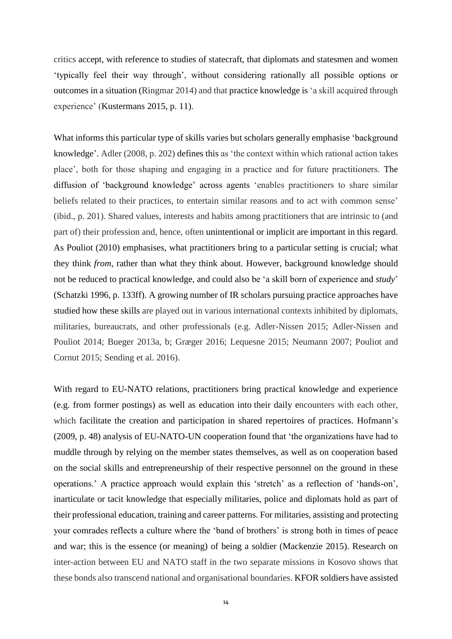critics accept, with reference to studies of statecraft, that diplomats and statesmen and women 'typically feel their way through', without considering rationally all possible options or outcomes in a situation (Ringmar 2014) and that practice knowledge is 'a skill acquired through experience' (Kustermans 2015, p. 11).

What informs this particular type of skills varies but scholars generally emphasise 'background knowledge'. Adler (2008, p. 202) defines this as 'the context within which rational action takes place', both for those shaping and engaging in a practice and for future practitioners. The diffusion of 'background knowledge' across agents 'enables practitioners to share similar beliefs related to their practices, to entertain similar reasons and to act with common sense' (ibid., p. 201). Shared values, interests and habits among practitioners that are intrinsic to (and part of) their profession and, hence, often unintentional or implicit are important in this regard. As Pouliot (2010) emphasises, what practitioners bring to a particular setting is crucial; what they think *from,* rather than what they think about. However, background knowledge should not be reduced to practical knowledge, and could also be 'a skill born of experience and *study*' (Schatzki 1996, p. 133ff). A growing number of IR scholars pursuing practice approaches have studied how these skills are played out in various international contexts inhibited by diplomats, militaries, bureaucrats, and other professionals (e.g. Adler-Nissen 2015; Adler-Nissen and Pouliot 2014; Bueger 2013a, b; Græger 2016; Lequesne 2015; Neumann 2007; Pouliot and Cornut 2015; Sending et al. 2016).

With regard to EU-NATO relations, practitioners bring practical knowledge and experience (e.g. from former postings) as well as education into their daily encounters with each other, which facilitate the creation and participation in shared repertoires of practices. Hofmann's (2009, p. 48) analysis of EU-NATO-UN cooperation found that 'the organizations have had to muddle through by relying on the member states themselves, as well as on cooperation based on the social skills and entrepreneurship of their respective personnel on the ground in these operations.' A practice approach would explain this 'stretch' as a reflection of 'hands-on', inarticulate or tacit knowledge that especially militaries, police and diplomats hold as part of their professional education, training and career patterns. For militaries, assisting and protecting your comrades reflects a culture where the 'band of brothers' is strong both in times of peace and war; this is the essence (or meaning) of being a soldier (Mackenzie 2015). Research on inter-action between EU and NATO staff in the two separate missions in Kosovo shows that these bonds also transcend national and organisational boundaries. KFOR soldiers have assisted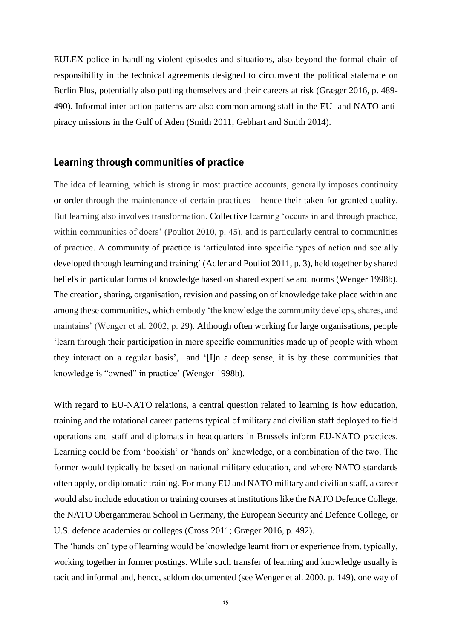EULEX police in handling violent episodes and situations, also beyond the formal chain of responsibility in the technical agreements designed to circumvent the political stalemate on Berlin Plus, potentially also putting themselves and their careers at risk (Græger 2016, p. 489- 490). Informal inter-action patterns are also common among staff in the EU- and NATO antipiracy missions in the Gulf of Aden (Smith 2011; Gebhart and Smith 2014).

#### **Learning through communities of practice**

The idea of learning, which is strong in most practice accounts, generally imposes continuity or order through the maintenance of certain practices – hence their taken-for-granted quality. But learning also involves transformation. Collective learning 'occurs in and through practice, within communities of doers' (Pouliot 2010, p. 45), and is particularly central to communities of practice. A community of practice is 'articulated into specific types of action and socially developed through learning and training' (Adler and Pouliot 2011, p. 3), held together by shared beliefs in particular forms of knowledge based on shared expertise and norms (Wenger 1998b). The creation, sharing, organisation, revision and passing on of knowledge take place within and among these communities, which embody 'the knowledge the community develops, shares, and maintains' (Wenger et al. 2002, p. 29). Although often working for large organisations, people 'learn through their participation in more specific communities made up of people with whom they interact on a regular basis', and '[I]n a deep sense, it is by these communities that knowledge is "owned" in practice' (Wenger 1998b).

With regard to EU-NATO relations, a central question related to learning is how education, training and the rotational career patterns typical of military and civilian staff deployed to field operations and staff and diplomats in headquarters in Brussels inform EU-NATO practices. Learning could be from 'bookish' or 'hands on' knowledge, or a combination of the two. The former would typically be based on national military education, and where NATO standards often apply, or diplomatic training. For many EU and NATO military and civilian staff, a career would also include education or training courses at institutions like the NATO Defence College, the NATO Obergammerau School in Germany, the European Security and Defence College, or U.S. defence academies or colleges (Cross 2011; Græger 2016, p. 492).

The 'hands-on' type of learning would be knowledge learnt from or experience from, typically, working together in former postings. While such transfer of learning and knowledge usually is tacit and informal and, hence, seldom documented (see Wenger et al. 2000, p. 149), one way of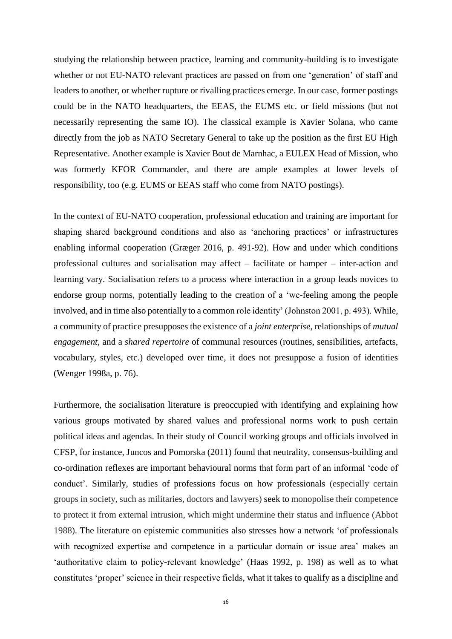studying the relationship between practice, learning and community-building is to investigate whether or not EU-NATO relevant practices are passed on from one 'generation' of staff and leaders to another, or whether rupture or rivalling practices emerge. In our case, former postings could be in the NATO headquarters, the EEAS, the EUMS etc. or field missions (but not necessarily representing the same IO). The classical example is Xavier Solana, who came directly from the job as NATO Secretary General to take up the position as the first EU High Representative. Another example is Xavier Bout de Marnhac, a EULEX Head of Mission, who was formerly KFOR Commander, and there are ample examples at lower levels of responsibility, too (e.g. EUMS or EEAS staff who come from NATO postings).

In the context of EU-NATO cooperation, professional education and training are important for shaping shared background conditions and also as 'anchoring practices' or infrastructures enabling informal cooperation (Græger 2016, p. 491-92). How and under which conditions professional cultures and socialisation may affect – facilitate or hamper – inter-action and learning vary. Socialisation refers to a process where interaction in a group leads novices to endorse group norms, potentially leading to the creation of a 'we-feeling among the people involved, and in time also potentially to a common role identity' (Johnston 2001, p. 493). While, a community of practice presupposes the existence of a *joint enterprise*, relationships of *mutual engagement*, and a *shared repertoire* of communal resources (routines, sensibilities, artefacts, vocabulary, styles, etc.) developed over time, it does not presuppose a fusion of identities (Wenger 1998a, p. 76).

Furthermore, the socialisation literature is preoccupied with identifying and explaining how various groups motivated by shared values and professional norms work to push certain political ideas and agendas. In their study of Council working groups and officials involved in CFSP, for instance, Juncos and Pomorska (2011) found that neutrality, consensus-building and co-ordination reflexes are important behavioural norms that form part of an informal 'code of conduct'. Similarly, studies of professions focus on how professionals (especially certain groups in society, such as militaries, doctors and lawyers) seek to monopolise their competence to protect it from external intrusion, which might undermine their status and influence (Abbot 1988). The literature on epistemic communities also stresses how a network 'of professionals with recognized expertise and competence in a particular domain or issue area' makes an 'authoritative claim to policy-relevant knowledge' (Haas 1992, p. 198) as well as to what constitutes 'proper' science in their respective fields, what it takes to qualify as a discipline and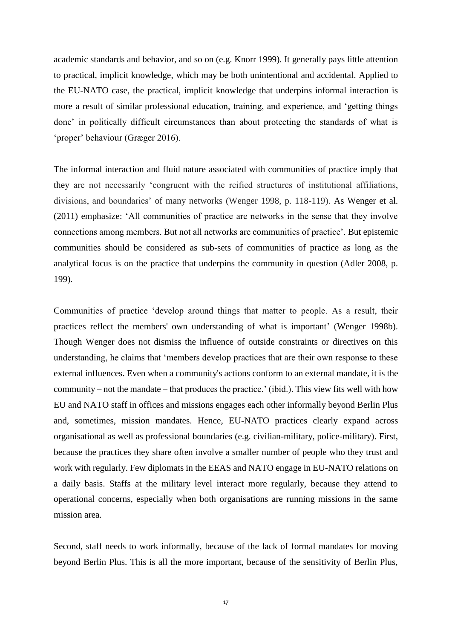academic standards and behavior, and so on (e.g. Knorr 1999). It generally pays little attention to practical, implicit knowledge, which may be both unintentional and accidental. Applied to the EU-NATO case, the practical, implicit knowledge that underpins informal interaction is more a result of similar professional education, training, and experience, and 'getting things done' in politically difficult circumstances than about protecting the standards of what is 'proper' behaviour (Græger 2016).

The informal interaction and fluid nature associated with communities of practice imply that they are not necessarily 'congruent with the reified structures of institutional affiliations, divisions, and boundaries' of many networks (Wenger 1998, p. 118-119). As Wenger et al. (2011) emphasize: 'All communities of practice are networks in the sense that they involve connections among members. But not all networks are communities of practice'. But epistemic communities should be considered as sub-sets of communities of practice as long as the analytical focus is on the practice that underpins the community in question (Adler 2008, p. 199).

Communities of practice 'develop around things that matter to people. As a result, their practices reflect the members' own understanding of what is important' (Wenger 1998b). Though Wenger does not dismiss the influence of outside constraints or directives on this understanding, he claims that 'members develop practices that are their own response to these external influences. Even when a community's actions conform to an external mandate, it is the community – not the mandate – that produces the practice.' (ibid.). This view fits well with how EU and NATO staff in offices and missions engages each other informally beyond Berlin Plus and, sometimes, mission mandates. Hence, EU-NATO practices clearly expand across organisational as well as professional boundaries (e.g. civilian-military, police-military). First, because the practices they share often involve a smaller number of people who they trust and work with regularly. Few diplomats in the EEAS and NATO engage in EU-NATO relations on a daily basis. Staffs at the military level interact more regularly, because they attend to operational concerns, especially when both organisations are running missions in the same mission area.

Second, staff needs to work informally, because of the lack of formal mandates for moving beyond Berlin Plus. This is all the more important, because of the sensitivity of Berlin Plus,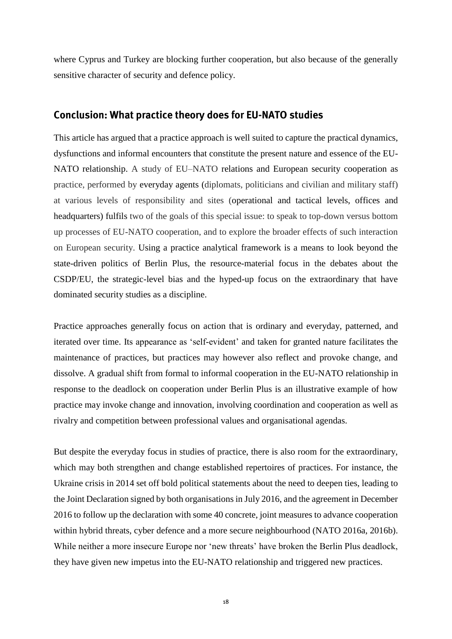where Cyprus and Turkey are blocking further cooperation, but also because of the generally sensitive character of security and defence policy.

#### **Conclusion: What practice theory does for EU-NATO studies**

This article has argued that a practice approach is well suited to capture the practical dynamics, dysfunctions and informal encounters that constitute the present nature and essence of the EU-NATO relationship. A study of EU–NATO relations and European security cooperation as practice, performed by everyday agents (diplomats, politicians and civilian and military staff) at various levels of responsibility and sites (operational and tactical levels, offices and headquarters) fulfils two of the goals of this special issue: to speak to top-down versus bottom up processes of EU-NATO cooperation, and to explore the broader effects of such interaction on European security. Using a practice analytical framework is a means to look beyond the state-driven politics of Berlin Plus, the resource-material focus in the debates about the CSDP/EU, the strategic-level bias and the hyped-up focus on the extraordinary that have dominated security studies as a discipline.

Practice approaches generally focus on action that is ordinary and everyday, patterned, and iterated over time. Its appearance as 'self-evident' and taken for granted nature facilitates the maintenance of practices, but practices may however also reflect and provoke change, and dissolve. A gradual shift from formal to informal cooperation in the EU-NATO relationship in response to the deadlock on cooperation under Berlin Plus is an illustrative example of how practice may invoke change and innovation, involving coordination and cooperation as well as rivalry and competition between professional values and organisational agendas.

But despite the everyday focus in studies of practice, there is also room for the extraordinary, which may both strengthen and change established repertoires of practices. For instance, the Ukraine crisis in 2014 set off bold political statements about the need to deepen ties, leading to the Joint Declaration signed by both organisations in July 2016, and the agreement in December 2016 to follow up the declaration with some 40 concrete, joint measures to advance cooperation within hybrid threats, cyber defence and a more secure neighbourhood (NATO 2016a, 2016b). While neither a more insecure Europe nor 'new threats' have broken the Berlin Plus deadlock, they have given new impetus into the EU-NATO relationship and triggered new practices.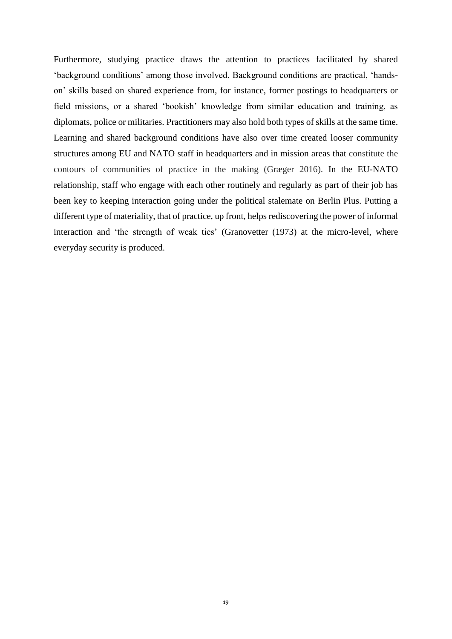Furthermore, studying practice draws the attention to practices facilitated by shared 'background conditions' among those involved. Background conditions are practical, 'handson' skills based on shared experience from, for instance, former postings to headquarters or field missions, or a shared 'bookish' knowledge from similar education and training, as diplomats, police or militaries. Practitioners may also hold both types of skills at the same time. Learning and shared background conditions have also over time created looser community structures among EU and NATO staff in headquarters and in mission areas that constitute the contours of communities of practice in the making (Græger 2016). In the EU-NATO relationship, staff who engage with each other routinely and regularly as part of their job has been key to keeping interaction going under the political stalemate on Berlin Plus. Putting a different type of materiality, that of practice, up front, helps rediscovering the power of informal interaction and 'the strength of weak ties' (Granovetter (1973) at the micro-level, where everyday security is produced.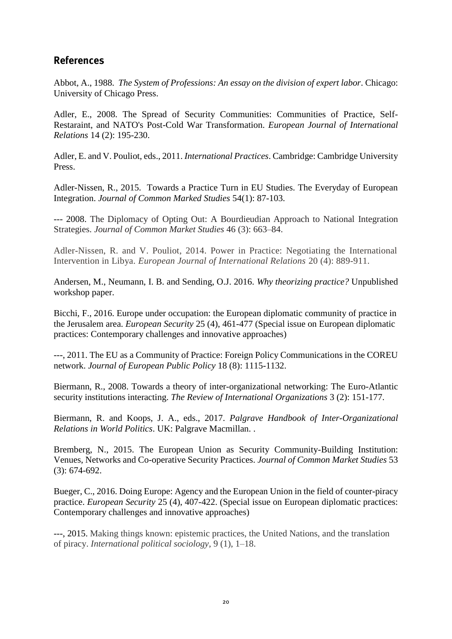# **References**

Abbot, A., 1988. *The System of Professions: An essay on the division of expert labor*. Chicago: University of Chicago Press.

Adler, E., 2008. The Spread of Security Communities: Communities of Practice, Self-Restaraint, and NATO's Post-Cold War Transformation. *European Journal of International Relations* 14 (2): 195-230.

Adler, E. and V. Pouliot, eds., 2011. *International Practices*. Cambridge: Cambridge University Press.

Adler-Nissen, R., 2015. Towards a Practice Turn in EU Studies. The Everyday of European Integration. *Journal of Common Marked Studies* 54(1): 87-103.

--- 2008. The Diplomacy of Opting Out: A Bourdieudian Approach to National Integration Strategies. *Journal of Common Market Studies* 46 (3): 663–84.

Adler-Nissen, R. and V. Pouliot, 2014. Power in Practice: Negotiating the International Intervention in Libya. *European Journal of International Relations* 20 (4): 889-911.

Andersen, M., Neumann, I. B. and Sending, O.J. 2016. *Why theorizing practice?* Unpublished workshop paper.

Bicchi, F., 2016. Europe under occupation: the European diplomatic community of practice in the Jerusalem area. *European Security* 25 (4), 461-477 (Special issue on European diplomatic practices: Contemporary challenges and innovative approaches)

---, 2011. The EU as a Community of Practice: Foreign Policy Communications in the COREU network. *Journal of European Public Policy* 18 (8): 1115-1132.

Biermann, R., 2008. Towards a theory of inter-organizational networking: The Euro-Atlantic security institutions interacting. *The Review of International Organizations* 3 (2): 151-177.

Biermann, R. and Koops, J. A., eds., 2017. *Palgrave Handbook of Inter-Organizational Relations in World Politics*. UK: Palgrave Macmillan. .

Bremberg, N., 2015. The European Union as Security Community-Building Institution: Venues, Networks and Co-operative Security Practices. *Journal of Common Market Studies* 53 (3): 674-692.

Bueger, C., 2016. Doing Europe: Agency and the European Union in the field of counter-piracy practice. *European Security* 25 (4), 407-422. (Special issue on European diplomatic practices: Contemporary challenges and innovative approaches)

---, 2015. Making things known: epistemic practices, the United Nations, and the translation of piracy. *International political sociology*, 9 (1), 1–18.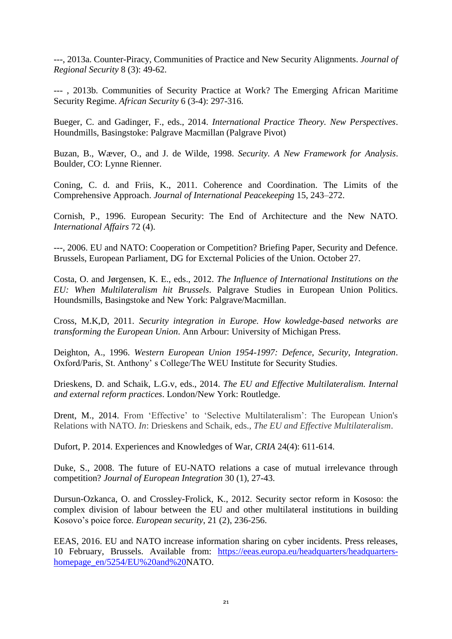---, 2013a. Counter-Piracy, Communities of Practice and New Security Alignments. *Journal of Regional Security* 8 (3): 49-62.

--- , 2013b. Communities of Security Practice at Work? The Emerging African Maritime Security Regime. *African Security* 6 (3-4): 297-316.

Bueger, C. and Gadinger, F., eds., 2014. *International Practice Theory. New Perspectives*. Houndmills, Basingstoke: Palgrave Macmillan (Palgrave Pivot)

Buzan, B., Wæver, O., and J. de Wilde, 1998. *Security. A New Framework for Analysis*. Boulder, CO: Lynne Rienner.

Coning, C. d. and Friis, K., 2011. Coherence and Coordination. The Limits of the Comprehensive Approach. *[Journal of International Peacekeeping](http://www.brill.nl/joup)* 15, 243–272.

Cornish, P., 1996. European Security: The End of Architecture and the New NATO. *International Affairs* 72 (4).

---, 2006. EU and NATO: Cooperation or Competition? Briefing Paper, Security and Defence. Brussels, European Parliament, DG for Excternal Policies of the Union. October 27.

Costa, O. and Jørgensen, K. E., eds., 2012. *The Influence of International Institutions on the EU: When Multilateralism hit Brussels*. Palgrave Studies in European Union Politics. Houndsmills, Basingstoke and New York: Palgrave/Macmillan.

Cross, M.K,D, 2011. *Security integration in Europe. How kowledge-based networks are transforming the European Union*. Ann Arbour: University of Michigan Press.

Deighton, A., 1996. *Western European Union 1954-1997: Defence, Security, Integration*. Oxford/Paris, St. Anthony' s College/The WEU Institute for Security Studies.

Drieskens, D. and Schaik, L.G.v, eds., 2014. *The EU and Effective Multilateralism. Internal and external reform practices*. London/New York: Routledge.

Drent, M., 2014. From 'Effective' to 'Selective Multilateralism': The European Union's Relations with NATO. *In*: Drieskens and Schaik, eds., *The EU and Effective Multilateralism*.

Dufort, P. 2014. Experiences and Knowledges of War, *CRIA* 24(4): 611-614.

Duke, S., 2008. The future of EU-NATO relations a case of mutual irrelevance through competition? *Journal of European Integration* 30 (1), 27-43.

Dursun-Ozkanca, O. and Crossley-Frolick, K., 2012. Security sector reform in Kososo: the complex division of labour between the EU and other multilateral institutions in building Kosovo's poice force. *European security*, 21 (2), 236-256.

EEAS, 2016. EU and NATO increase information sharing on cyber incidents. Press releases, 10 February, Brussels. Available from: [https://eeas.europa.eu/headquarters/headquarters](https://eeas.europa.eu/headquarters/headquarters-homepage_en/5254/EU%20and)[homepage\\_en/5254/EU%20and%20N](https://eeas.europa.eu/headquarters/headquarters-homepage_en/5254/EU%20and)ATO.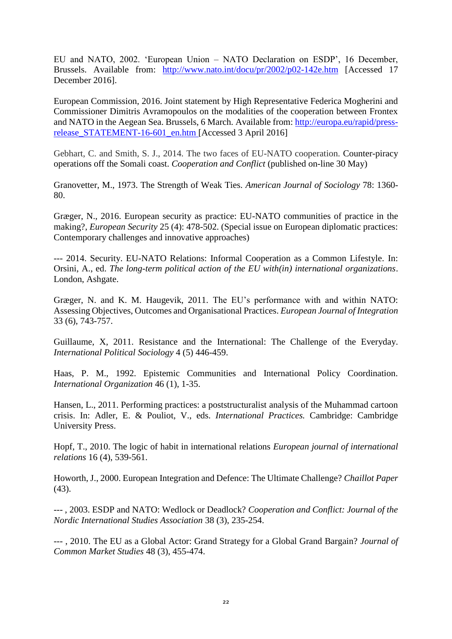EU and NATO, 2002. 'European Union – NATO Declaration on ESDP', 16 December, Brussels. Available from: <http://www.nato.int/docu/pr/2002/p02-142e.htm> [Accessed 17 December 2016].

European Commission, 2016. Joint statement by High Representative Federica Mogherini and Commissioner Dimitris Avramopoulos on the modalities of the cooperation between Frontex and NATO in the Aegean Sea. Brussels, 6 March. Available from: [http://europa.eu/rapid/press](http://europa.eu/rapid/press-release_STATEMENT-16-601_en.htm)[release\\_STATEMENT-16-601\\_en.htm](http://europa.eu/rapid/press-release_STATEMENT-16-601_en.htm) [Accessed 3 April 2016]

Gebhart, C. and Smith, S. J., 2014. The two faces of EU-NATO cooperation. Counter-piracy operations off the Somali coast. *Cooperation and Conflict* (published on-line 30 May)

Granovetter, M., 1973. The Strength of Weak Ties. *American Journal of Sociology* 78: 1360- 80.

Græger, N., 2016. European security as practice: EU-NATO communities of practice in the making?, *European Security* 25 (4): 478-502. (Special issue on European diplomatic practices: Contemporary challenges and innovative approaches)

--- 2014. Security. EU-NATO Relations: Informal Cooperation as a Common Lifestyle. In: Orsini, A., ed. *The long-term political action of the EU with(in) international organizations*. London, Ashgate.

Græger, N. and K. M. Haugevik, 2011. The EU's performance with and within NATO: Assessing Objectives, Outcomes and Organisational Practices. *European Journal of Integration* 33 (6), 743-757.

Guillaume, X, 2011. Resistance and the International: The Challenge of the Everyday. *International Political Sociology* 4 (5) 446-459.

Haas, P. M., 1992. Epistemic Communities and International Policy Coordination. *International Organization* 46 (1), 1-35.

Hansen, L., 2011. Performing practices: a poststructuralist analysis of the Muhammad cartoon crisis. In: Adler, E. & Pouliot, V., eds. *International Practices.* Cambridge: Cambridge University Press.

Hopf, T., 2010. The logic of habit in international relations *European journal of international relations* 16 (4), 539-561.

Howorth, J., 2000. European Integration and Defence: The Ultimate Challenge? *Chaillot Paper* (43).

--- , 2003. ESDP and NATO: Wedlock or Deadlock? *Cooperation and Conflict: Journal of the Nordic International Studies Association* 38 (3), 235-254.

--- , 2010. The EU as a Global Actor: Grand Strategy for a Global Grand Bargain? *Journal of Common Market Studies* 48 (3), 455-474.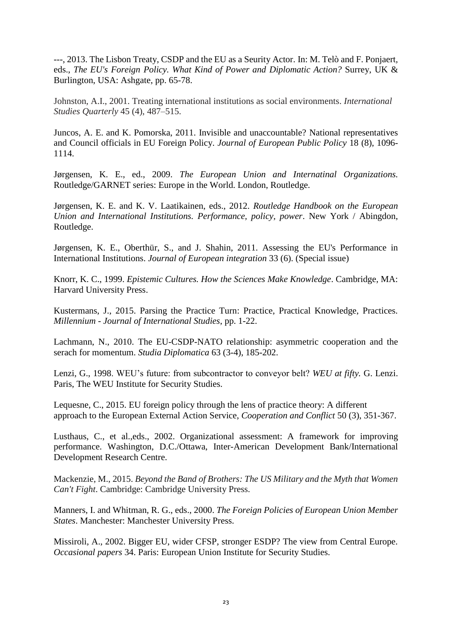---, 2013. The Lisbon Treaty, CSDP and the EU as a Seurity Actor. In: M. Telò and F. Ponjaert*,*  eds., *The EU's Foreign Policy. What Kind of Power and Diplomatic Action?* Surrey, UK & Burlington, USA: Ashgate, pp. 65-78.

Johnston, A.I., 2001. Treating international institutions as social environments. *International Studies Quarterly* 45 (4), 487–515.

Juncos, A. E. and K. Pomorska, 2011. Invisible and unaccountable? National representatives and Council officials in EU Foreign Policy. *Journal of European Public Policy* 18 (8), 1096- 1114.

Jørgensen, K. E., ed., 2009. *The European Union and Internatinal Organizations.*  Routledge/GARNET series: Europe in the World. London, Routledge.

Jørgensen, K. E. and K. V. Laatikainen, eds., 2012. *Routledge Handbook on the European Union and International Institutions. Performance, policy, power*. New York / Abingdon, Routledge.

Jørgensen, K. E., Oberthür, S., and J. Shahin, 2011. Assessing the EU's Performance in International Institutions. *Journal of European integration* 33 (6). (Special issue)

Knorr, K. C., 1999. *Epistemic Cultures. How the Sciences Make Knowledge*. Cambridge, MA: Harvard University Press.

Kustermans, J., 2015. Parsing the Practice Turn: Practice, Practical Knowledge, Practices. *Millennium - Journal of International Studies*, pp. 1-22.

Lachmann, N., 2010. The EU-CSDP-NATO relationship: asymmetric cooperation and the serach for momentum. *Studia Diplomatica* 63 (3-4), 185-202.

Lenzi, G., 1998. WEU's future: from subcontractor to conveyor belt? *WEU at fifty.* G. Lenzi. Paris, The WEU Institute for Security Studies.

Lequesne, C., 2015. EU foreign policy through the lens of practice theory: A different approach to the European External Action Service, *Cooperation and Conflict* 50 (3), 351-367.

Lusthaus, C., et al.,eds., 2002. Organizational assessment: A framework for improving performance. Washington, D.C./Ottawa, Inter-American Development Bank/International Development Research Centre.

Mackenzie, M., 2015. *Beyond the Band of Brothers: The US Military and the Myth that Women Can't Fight*. Cambridge: Cambridge University Press.

Manners, I. and Whitman, R. G., eds., 2000. *The Foreign Policies of European Union Member States*. Manchester: Manchester University Press.

Missiroli, A., 2002. Bigger EU, wider CFSP, stronger ESDP? The view from Central Europe. *Occasional papers* 34. Paris: European Union Institute for Security Studies.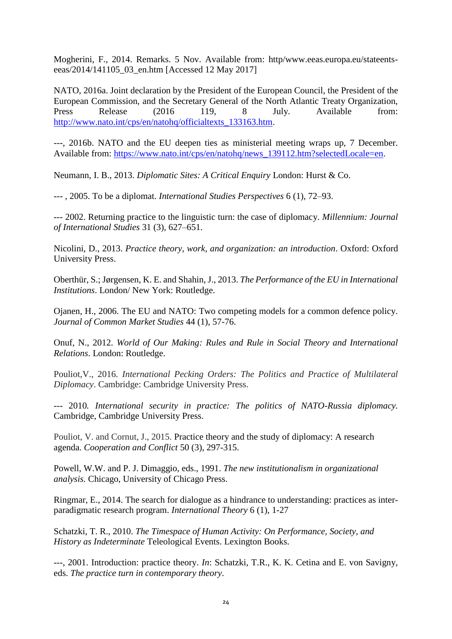Mogherini, F., 2014. Remarks. 5 Nov. Available from: http/www.eeas.europa.eu/stateentseeas/2014/141105\_03\_en.htm [Accessed 12 May 2017]

NATO, 2016a. Joint declaration by the President of the European Council, the President of the European Commission, and the Secretary General of the North Atlantic Treaty Organization, Press Release (2016 119, 8 July. Available from: [http://www.nato.int/cps/en/natohq/officialtexts\\_133163.htm.](http://www.nato.int/cps/en/natohq/officialtexts_133163.htm)

---, 2016b. NATO and the EU deepen ties as ministerial meeting wraps up, 7 December. Available from: [https://www.nato.int/cps/en/natohq/news\\_139112.htm?selectedLocale=en.](https://www.nato.int/cps/en/natohq/news_139112.htm?selectedLocale=en)

Neumann, I. B., 2013. *Diplomatic Sites: A Critical Enquiry* London: Hurst & Co.

--- , 2005. To be a diplomat. *International Studies Perspectives* 6 (1), 72–93.

--- 2002. Returning practice to the linguistic turn: the case of diplomacy. *Millennium: Journal of International Studies* 31 (3), 627–651.

Nicolini, D., 2013. *Practice theory, work, and organization: an introduction*. Oxford: Oxford University Press.

Oberthür, S.; Jørgensen, K. E. and Shahin, J., 2013. *The Performance of the EU in International Institutions*. London/ New York: Routledge.

Ojanen, H., 2006. The EU and NATO: Two competing models for a common defence policy. *Journal of Common Market Studies* 44 (1), 57-76.

Onuf, N., 2012. *World of Our Making: Rules and Rule in Social Theory and International Relations*. London: Routledge.

Pouliot,V., 2016. *International Pecking Orders: The Politics and Practice of Multilateral Diplomacy*. Cambridge: Cambridge University Press.

--- 2010*. International security in practice: The politics of NATO-Russia diplomacy.*  Cambridge, Cambridge University Press.

Pouliot, V. and Cornut, J., 2015. Practice theory and the study of diplomacy: A research agenda. *Cooperation and Conflict* 50 (3), 297-315.

Powell, W.W. and P. J. Dimaggio, eds., 1991. *The new institutionalism in organizational analysis.* Chicago, University of Chicago Press.

Ringmar, E., 2014. The search for dialogue as a hindrance to understanding: practices as interparadigmatic research program. *International Theory* 6 (1), 1-27

Schatzki, T. R., 2010. *The Timespace of Human Activity: On Performance, Society, and History as Indeterminate* Teleological Events. Lexington Books.

---, 2001. Introduction: practice theory. *In*: Schatzki, T.R., K. K. Cetina and E. von Savigny, eds. *The practice turn in contemporary theory*.